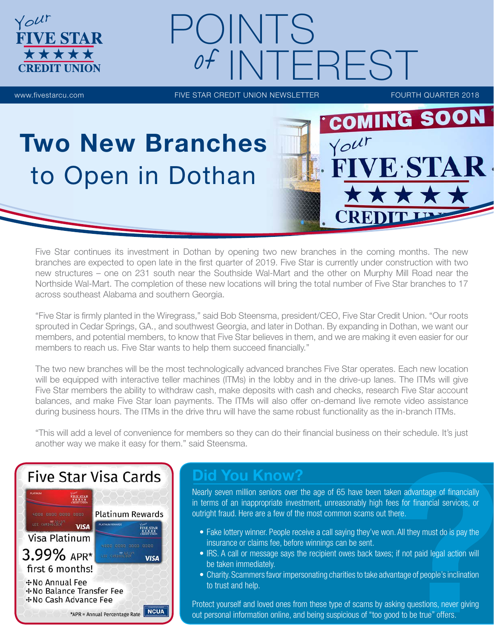# POINTS **NTEREST**

**FIVE STAR** 

\*\*\*\*

Your

www.fivestarcu.com **FIVE STAR CREDIT UNION NEWSLETTER** FOURTH QUARTER 2018

**IVE STAR** 

**COMING SOON** 

REDIT

Your

## Two New Branches to Open in Dothan

Five Star continues its investment in Dothan by opening two new branches in the coming months. The new branches are expected to open late in the first quarter of 2019. Five Star is currently under construction with two new structures – one on 231 south near the Southside Wal-Mart and the other on Murphy Mill Road near the Northside Wal-Mart. The completion of these new locations will bring the total number of Five Star branches to 17 across southeast Alabama and southern Georgia.

"Five Star is firmly planted in the Wiregrass," said Bob Steensma, president/CEO, Five Star Credit Union. "Our roots sprouted in Cedar Springs, GA., and southwest Georgia, and later in Dothan. By expanding in Dothan, we want our members, and potential members, to know that Five Star believes in them, and we are making it even easier for our members to reach us. Five Star wants to help them succeed financially."

The two new branches will be the most technologically advanced branches Five Star operates. Each new location will be equipped with interactive teller machines (ITMs) in the lobby and in the drive-up lanes. The ITMs will give Five Star members the ability to withdraw cash, make deposits with cash and checks, research Five Star account balances, and make Five Star loan payments. The ITMs will also offer on-demand live remote video assistance during business hours. The ITMs in the drive thru will have the same robust functionality as the in-branch ITMs.

"This will add a level of convenience for members so they can do their financial business on their schedule. It's just another way we make it easy for them." said Steensma.



## Did You Know?

Nearly seven million seniors over the age of 65 have been taken advantage of financially in terms of an inappropriate investment, unreasonably high fees for financial services, or outright fraud. Here are a few of the most common scams out there.

- Fake lottery winner. People receive a call saying they've won. All they must do is pay the insurance or claims fee, before winnings can be sent.
- IRS. A call or message says the recipient owes back taxes; if not paid legal action will be taken immediately.
- Charity. Scammers favor impersonating charities to take advantage of people's inclination to trust and help.

Protect yourself and loved ones from these type of scams by asking questions, never giving out personal information online, and being suspicious of "too good to be true" offers.